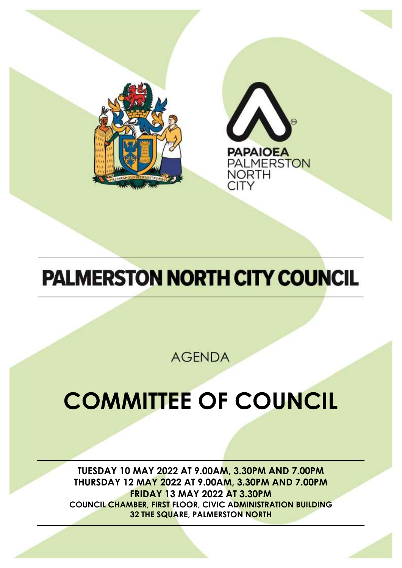



# **PALMERSTON NORTH CITY COUNCIL**

**AGENDA** 

# **COMMITTEE OF COUNCIL**

**TUESDAY 10 MAY 2022 AT 9.00AM, 3.30PM AND 7.00PM THURSDAY 12 MAY 2022 AT 9.00AM, 3.30PM AND 7.00PM FRIDAY 13 MAY 2022 AT 3.30PM COUNCIL CHAMBER, FIRST FLOOR, CIVIC ADMINISTRATION BUILDING 32 THE SQUARE, PALMERSTON NORTH**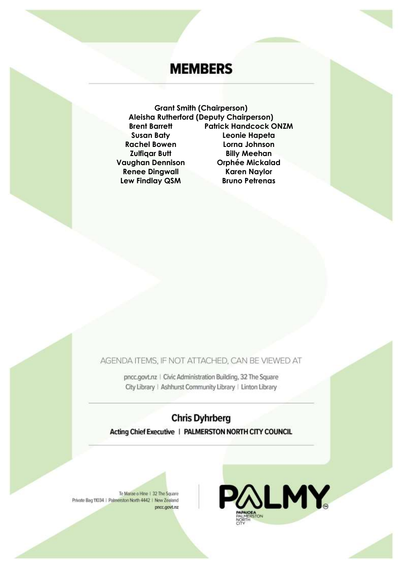# **MEMBERS**

**Grant Smith (Chairperson) Aleisha Rutherford (Deputy Chairperson) Brent Barrett Patrick Handcock ONZM Susan Baty Leonie Hapeta Rachel Bowen Lorna Johnson Zulfiqar Butt Billy Meehan Vaughan Dennison Orphée Mickalad Renee Dingwall Karen Naylor Lew Findlay QSM Bruno Petrenas**

AGENDA ITEMS, IF NOT ATTACHED, CAN BE VIEWED AT

pncc.govt.nz | Civic Administration Building, 32 The Square City Library | Ashhurst Community Library | Linton Library

**Chris Dyhrberg** Acting Chief Executive | PALMERSTON NORTH CITY COUNCIL

Te Marae o Hine 1 32 The Square Private Bag 11034 | Palmerston North 4442 | New Zealand pncc.govt.nz

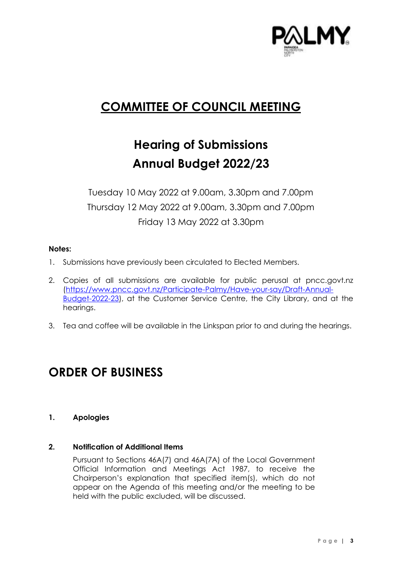

# **COMMITTEE OF COUNCIL MEETING**

# **Hearing of Submissions Annual Budget 2022/23**

Tuesday 10 May 2022 at 9.00am, 3.30pm and 7.00pm Thursday 12 May 2022 at 9.00am, 3.30pm and 7.00pm Friday 13 May 2022 at 3.30pm

#### **Notes:**

- 1. Submissions have previously been circulated to Elected Members.
- 2. Copies of all submissions are available for public perusal at pncc.govt.nz [\(https://www.pncc.govt.nz/Participate-Palmy/Have-your-say/Draft-Annual-](https://www.pncc.govt.nz/Participate-Palmy/Have-your-say/Draft-Annual-Budget-2022-23)[Budget-2022-23\)](https://www.pncc.govt.nz/Participate-Palmy/Have-your-say/Draft-Annual-Budget-2022-23), at the Customer Service Centre, the City Library, and at the hearings.
- 3. Tea and coffee will be available in the Linkspan prior to and during the hearings.

# **ORDER OF BUSINESS**

**1. Apologies**

#### **2. Notification of Additional Items**

Pursuant to Sections 46A(7) and 46A(7A) of the Local Government Official Information and Meetings Act 1987, to receive the Chairperson's explanation that specified item(s), which do not appear on the Agenda of this meeting and/or the meeting to be held with the public excluded, will be discussed.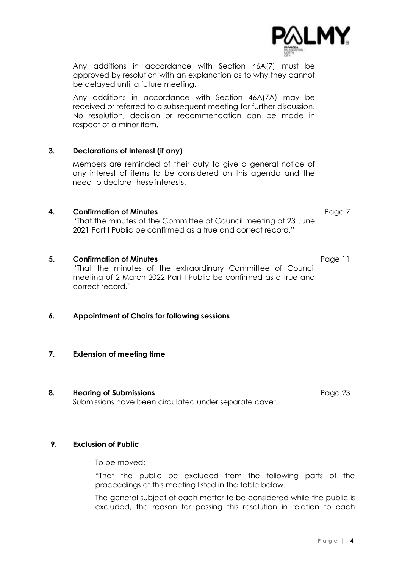Any additions in accordance with Section 46A(7) must be approved by resolution with an explanation as to why they cannot be delayed until a future meeting.

Any additions in accordance with Section 46A(7A) may be received or referred to a subsequent meeting for further discussion. No resolution, decision or recommendation can be made in respect of a minor item.

#### **3. Declarations of Interest (if any)**

Members are reminded of their duty to give a general notice of any interest of items to be considered on this agenda and the need to declare these interests.

#### **4. Confirmation of Minutes Page [7](#page-6-0)**

"That the minutes of the Committee of Council meeting of 23 June 2021 Part I Public be confirmed as a true and correct record."

#### **5. Confirmation of Minutes Page [11](#page-10-0)**

"That the minutes of the extraordinary Committee of Council meeting of 2 March 2022 Part I Public be confirmed as a true and correct record."

#### **6. Appointment of Chairs for following sessions**

#### **7. Extension of meeting time**

#### **8. Hearing of Submissions Page 23**

Submissions have been circulated under separate cover.

#### **9. Exclusion of Public**

To be moved:

"That the public be excluded from the following parts of the proceedings of this meeting listed in the table below.

The general subject of each matter to be considered while the public is excluded, the reason for passing this resolution in relation to each

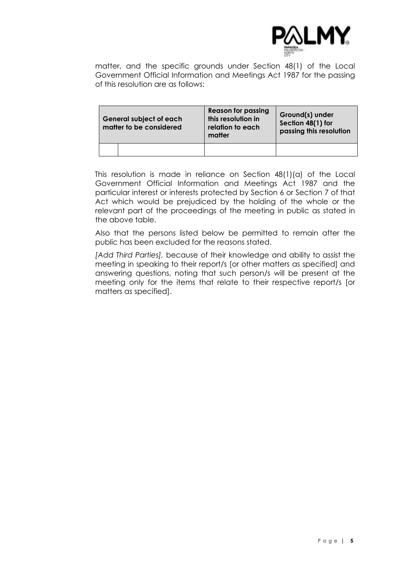

matter, and the specific grounds under Section 48(1) of the Local Government Official Information and Meetings Act 1987 for the passing of this resolution are as follows:

| <b>General subject of each</b><br>matter to be considered |  | <b>Reason for passing</b><br>this resolution in<br>relation to each<br>matter | Ground(s) under<br>Section 48(1) for<br>passing this resolution |
|-----------------------------------------------------------|--|-------------------------------------------------------------------------------|-----------------------------------------------------------------|
|                                                           |  |                                                                               |                                                                 |

This resolution is made in reliance on Section 48(1)(a) of the Local Government Official Information and Meetings Act 1987 and the particular interest or interests protected by Section 6 or Section 7 of that Act which would be prejudiced by the holding of the whole or the relevant part of the proceedings of the meeting in public as stated in the above table.

Also that the persons listed below be permitted to remain after the public has been excluded for the reasons stated.

*[Add Third Parties],* because of their knowledge and ability to assist the meeting in speaking to their report/s [or other matters as specified] and answering questions, noting that such person/s will be present at the meeting only for the items that relate to their respective report/s [or matters as specified].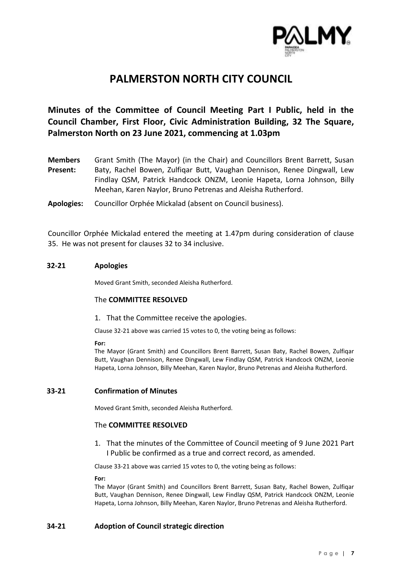

## **PALMERSTON NORTH CITY COUNCIL**

### <span id="page-6-0"></span>**Minutes of the Committee of Council Meeting Part I Public, held in the Council Chamber, First Floor, Civic Administration Building, 32 The Square, Palmerston North on 23 June 2021, commencing at 1.03pm**

**Members Present:** Grant Smith (The Mayor) (in the Chair) and Councillors Brent Barrett, Susan Baty, Rachel Bowen, Zulfiqar Butt, Vaughan Dennison, Renee Dingwall, Lew Findlay QSM, Patrick Handcock ONZM, Leonie Hapeta, Lorna Johnson, Billy Meehan, Karen Naylor, Bruno Petrenas and Aleisha Rutherford.

**Apologies:** Councillor Orphée Mickalad (absent on Council business).

Councillor Orphée Mickalad entered the meeting at 1.47pm during consideration of clause 35. He was not present for clauses 32 to 34 inclusive.

#### **32-21 Apologies**

Moved Grant Smith, seconded Aleisha Rutherford.

#### The **COMMITTEE RESOLVED**

#### 1. That the Committee receive the apologies.

Clause 32-21 above was carried 15 votes to 0, the voting being as follows:

#### **For:**

The Mayor (Grant Smith) and Councillors Brent Barrett, Susan Baty, Rachel Bowen, Zulfiqar Butt, Vaughan Dennison, Renee Dingwall, Lew Findlay QSM, Patrick Handcock ONZM, Leonie Hapeta, Lorna Johnson, Billy Meehan, Karen Naylor, Bruno Petrenas and Aleisha Rutherford.

#### **33-21 Confirmation of Minutes**

Moved Grant Smith, seconded Aleisha Rutherford.

#### The **COMMITTEE RESOLVED**

1. That the minutes of the Committee of Council meeting of 9 June 2021 Part I Public be confirmed as a true and correct record, as amended.

Clause 33-21 above was carried 15 votes to 0, the voting being as follows:

#### **For:**

The Mayor (Grant Smith) and Councillors Brent Barrett, Susan Baty, Rachel Bowen, Zulfiqar Butt, Vaughan Dennison, Renee Dingwall, Lew Findlay QSM, Patrick Handcock ONZM, Leonie Hapeta, Lorna Johnson, Billy Meehan, Karen Naylor, Bruno Petrenas and Aleisha Rutherford.

#### **34-21 Adoption of Council strategic direction**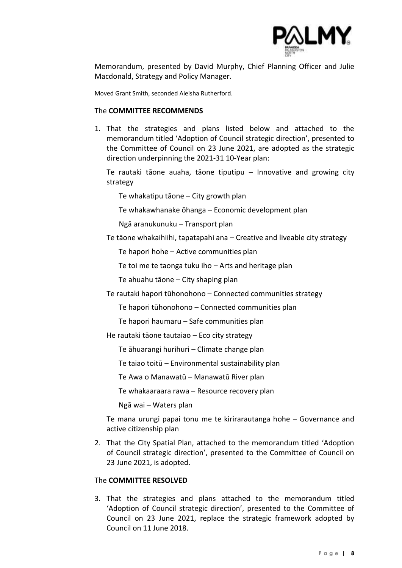

Memorandum, presented by David Murphy, Chief Planning Officer and Julie Macdonald, Strategy and Policy Manager.

Moved Grant Smith, seconded Aleisha Rutherford.

#### The **COMMITTEE RECOMMENDS**

1. That the strategies and plans listed below and attached to the memorandum titled 'Adoption of Council strategic direction', presented to the Committee of Council on 23 June 2021, are adopted as the strategic direction underpinning the 2021-31 10-Year plan:

Te rautaki tāone auaha, tāone tiputipu – Innovative and growing city strategy

Te whakatipu tāone – City growth plan

Te whakawhanake ōhanga – Economic development plan

Ngā aranukunuku – Transport plan

Te tāone whakaihiihi, tapatapahi ana – Creative and liveable city strategy

Te hapori hohe – Active communities plan

Te toi me te taonga tuku iho – Arts and heritage plan

Te ahuahu tāone – City shaping plan

Te rautaki hapori tūhonohono – Connected communities strategy

Te hapori tūhonohono – Connected communities plan

Te hapori haumaru – Safe communities plan

He rautaki tāone tautaiao – Eco city strategy

Te āhuarangi hurihuri – Climate change plan

Te taiao toitū – Environmental sustainability plan

Te Awa o Manawatū – Manawatū River plan

Te whakaaraara rawa – Resource recovery plan

Ngā wai – Waters plan

Te mana urungi papai tonu me te kirirarautanga hohe – Governance and active citizenship plan

2. That the City Spatial Plan, attached to the memorandum titled 'Adoption of Council strategic direction', presented to the Committee of Council on 23 June 2021, is adopted.

#### The **COMMITTEE RESOLVED**

3. That the strategies and plans attached to the memorandum titled 'Adoption of Council strategic direction', presented to the Committee of Council on 23 June 2021, replace the strategic framework adopted by Council on 11 June 2018.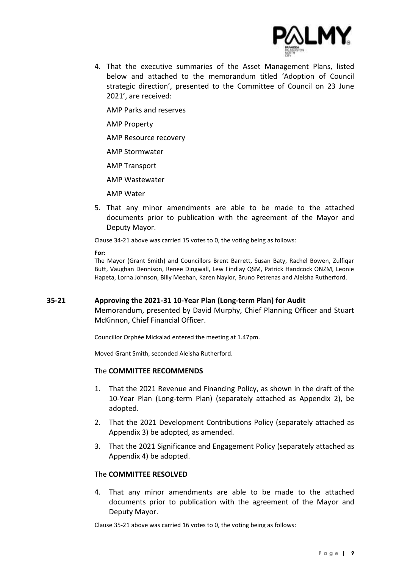

4. That the executive summaries of the Asset Management Plans, listed below and attached to the memorandum titled 'Adoption of Council strategic direction', presented to the Committee of Council on 23 June 2021', are received:

AMP Parks and reserves

AMP Property

AMP Resource recovery

AMP Stormwater

AMP Transport

AMP Wastewater

AMP Water

5. That any minor amendments are able to be made to the attached documents prior to publication with the agreement of the Mayor and Deputy Mayor.

Clause 34-21 above was carried 15 votes to 0, the voting being as follows:

**For:**

The Mayor (Grant Smith) and Councillors Brent Barrett, Susan Baty, Rachel Bowen, Zulfiqar Butt, Vaughan Dennison, Renee Dingwall, Lew Findlay QSM, Patrick Handcock ONZM, Leonie Hapeta, Lorna Johnson, Billy Meehan, Karen Naylor, Bruno Petrenas and Aleisha Rutherford.

#### **35-21 Approving the 2021-31 10-Year Plan (Long-term Plan) for Audit**

Memorandum, presented by David Murphy, Chief Planning Officer and Stuart McKinnon, Chief Financial Officer.

Councillor Orphée Mickalad entered the meeting at 1.47pm.

Moved Grant Smith, seconded Aleisha Rutherford.

#### The **COMMITTEE RECOMMENDS**

- 1. That the 2021 Revenue and Financing Policy, as shown in the draft of the 10-Year Plan (Long-term Plan) (separately attached as Appendix 2), be adopted.
- 2. That the 2021 Development Contributions Policy (separately attached as Appendix 3) be adopted, as amended.
- 3. That the 2021 Significance and Engagement Policy (separately attached as Appendix 4) be adopted.

#### The **COMMITTEE RESOLVED**

4. That any minor amendments are able to be made to the attached documents prior to publication with the agreement of the Mayor and Deputy Mayor.

Clause 35-21 above was carried 16 votes to 0, the voting being as follows: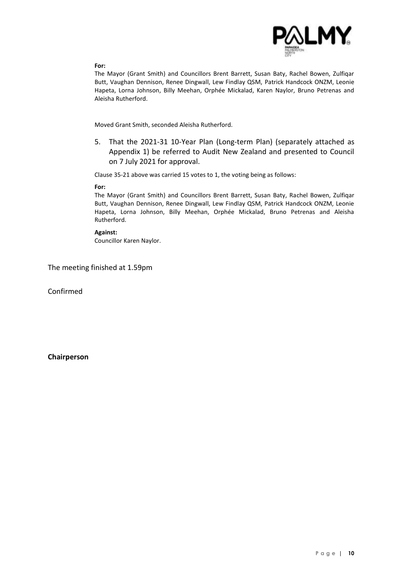

#### **For:**

The Mayor (Grant Smith) and Councillors Brent Barrett, Susan Baty, Rachel Bowen, Zulfiqar Butt, Vaughan Dennison, Renee Dingwall, Lew Findlay QSM, Patrick Handcock ONZM, Leonie Hapeta, Lorna Johnson, Billy Meehan, Orphée Mickalad, Karen Naylor, Bruno Petrenas and Aleisha Rutherford.

Moved Grant Smith, seconded Aleisha Rutherford.

5. That the 2021-31 10-Year Plan (Long-term Plan) (separately attached as Appendix 1) be referred to Audit New Zealand and presented to Council on 7 July 2021 for approval.

Clause 35-21 above was carried 15 votes to 1, the voting being as follows:

#### **For:**

The Mayor (Grant Smith) and Councillors Brent Barrett, Susan Baty, Rachel Bowen, Zulfiqar Butt, Vaughan Dennison, Renee Dingwall, Lew Findlay QSM, Patrick Handcock ONZM, Leonie Hapeta, Lorna Johnson, Billy Meehan, Orphée Mickalad, Bruno Petrenas and Aleisha Rutherford.

#### **Against:**

Councillor Karen Naylor.

The meeting finished at 1.59pm

Confirmed

**Chairperson**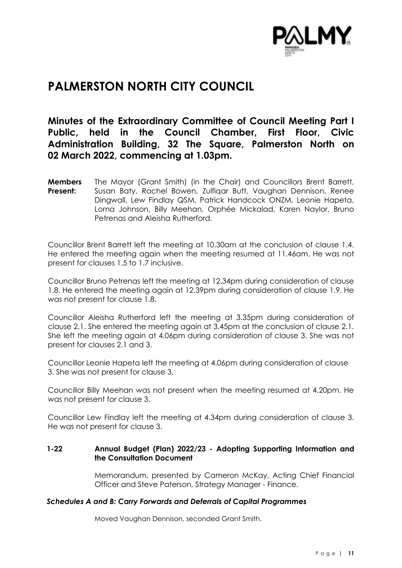

# <span id="page-10-0"></span>**PALMERSTON NORTH CITY COUNCIL**

### **Minutes of the Extraordinary Committee of Council Meeting Part I Public, held in the Council Chamber, First Floor, Civic Administration Building, 32 The Square, Palmerston North on 02 March 2022, commencing at 1.03pm.**

**Members Present:** The Mayor (Grant Smith) (in the Chair) and Councillors Brent Barrett, Susan Baty, Rachel Bowen, Zulfiqar Butt, Vaughan Dennison, Renee Dingwall, Lew Findlay QSM, Patrick Handcock ONZM, Leonie Hapeta, Lorna Johnson, Billy Meehan, Orphée Mickalad, Karen Naylor, Bruno Petrenas and Aleisha Rutherford.

Councillor Brent Barrett left the meeting at 10.30am at the conclusion of clause 1.4. He entered the meeting again when the meeting resumed at 11.46am. He was not present for clauses 1.5 to 1.7 inclusive.

Councillor Bruno Petrenas left the meeting at 12.34pm during consideration of clause 1.8. He entered the meeting again at 12.39pm during consideration of clause 1.9. He was not present for clause 1.8.

Councillor Aleisha Rutherford left the meeting at 3.35pm during consideration of clause 2.1. She entered the meeting again at 3.45pm at the conclusion of clause 2.1. She left the meeting again at 4.06pm during consideration of clause 3. She was not present for clauses 2.1 and 3.

Councillor Leonie Hapeta left the meeting at 4.06pm during consideration of clause 3. She was not present for clause 3.

Councillor Billy Meehan was not present when the meeting resumed at 4.20pm. He was not present for clause 3.

Councillor Lew Findlay left the meeting at 4.34pm during consideration of clause 3. He was not present for clause 3.

#### **1-22 Annual Budget (Plan) 2022/23 - Adopting Supporting Information and the Consultation Document**

Memorandum, presented by Cameron McKay, Acting Chief Financial Officer and Steve Paterson, Strategy Manager - Finance.

#### *Schedules A and B: Carry Forwards and Deferrals of Capital Programmes*

Moved Vaughan Dennison, seconded Grant Smith.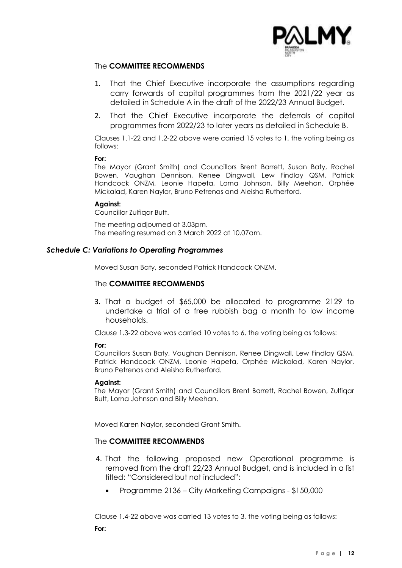

#### The **COMMITTEE RECOMMENDS**

- 1. That the Chief Executive incorporate the assumptions regarding carry forwards of capital programmes from the 2021/22 year as detailed in Schedule A in the draft of the 2022/23 Annual Budget.
- 2. That the Chief Executive incorporate the deferrals of capital programmes from 2022/23 to later years as detailed in Schedule B.

Clauses 1.1-22 and 1.2-22 above were carried 15 votes to 1, the voting being as follows:

#### **For:**

The Mayor (Grant Smith) and Councillors Brent Barrett, Susan Baty, Rachel Bowen, Vaughan Dennison, Renee Dingwall, Lew Findlay QSM, Patrick Handcock ONZM, Leonie Hapeta, Lorna Johnson, Billy Meehan, Orphée Mickalad, Karen Naylor, Bruno Petrenas and Aleisha Rutherford.

#### **Against:**

Councillor Zulfiqar Butt.

The meeting adjourned at 3.03pm. The meeting resumed on 3 March 2022 at 10.07am.

#### *Schedule C: Variations to Operating Programmes*

Moved Susan Baty, seconded Patrick Handcock ONZM.

#### The **COMMITTEE RECOMMENDS**

3. That a budget of \$65,000 be allocated to programme 2129 to undertake a trial of a free rubbish bag a month to low income households.

Clause 1.3-22 above was carried 10 votes to 6, the voting being as follows:

#### **For:**

Councillors Susan Baty, Vaughan Dennison, Renee Dingwall, Lew Findlay QSM, Patrick Handcock ONZM, Leonie Hapeta, Orphée Mickalad, Karen Naylor, Bruno Petrenas and Aleisha Rutherford.

#### **Against:**

The Mayor (Grant Smith) and Councillors Brent Barrett, Rachel Bowen, Zulfiqar Butt, Lorna Johnson and Billy Meehan.

Moved Karen Naylor, seconded Grant Smith.

#### The **COMMITTEE RECOMMENDS**

- 4. That the following proposed new Operational programme is removed from the draft 22/23 Annual Budget, and is included in a list titled: "Considered but not included":
	- Programme 2136 City Marketing Campaigns \$150,000

Clause 1.4-22 above was carried 13 votes to 3, the voting being as follows: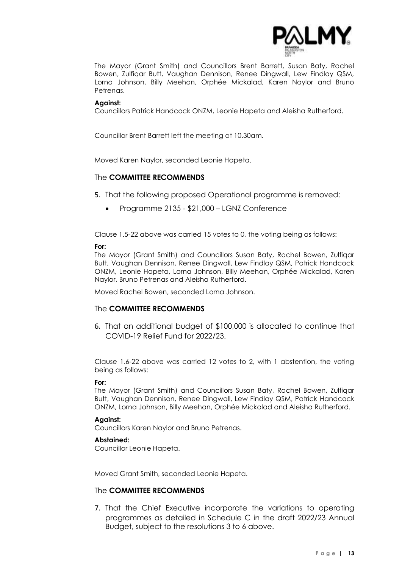

The Mayor (Grant Smith) and Councillors Brent Barrett, Susan Baty, Rachel Bowen, Zulfiqar Butt, Vaughan Dennison, Renee Dingwall, Lew Findlay QSM, Lorna Johnson, Billy Meehan, Orphée Mickalad, Karen Naylor and Bruno Petrenas.

#### **Against:**

Councillors Patrick Handcock ONZM, Leonie Hapeta and Aleisha Rutherford.

Councillor Brent Barrett left the meeting at 10.30am.

Moved Karen Naylor, seconded Leonie Hapeta.

#### The **COMMITTEE RECOMMENDS**

- 5. That the following proposed Operational programme is removed:
	- Programme 2135 \$21,000 LGNZ Conference

Clause 1.5-22 above was carried 15 votes to 0, the voting being as follows:

#### **For:**

The Mayor (Grant Smith) and Councillors Susan Baty, Rachel Bowen, Zulfiqar Butt, Vaughan Dennison, Renee Dingwall, Lew Findlay QSM, Patrick Handcock ONZM, Leonie Hapeta, Lorna Johnson, Billy Meehan, Orphée Mickalad, Karen Naylor, Bruno Petrenas and Aleisha Rutherford.

Moved Rachel Bowen, seconded Lorna Johnson.

#### The **COMMITTEE RECOMMENDS**

6. That an additional budget of \$100,000 is allocated to continue that COVID-19 Relief Fund for 2022/23.

Clause 1.6-22 above was carried 12 votes to 2, with 1 abstention, the voting being as follows:

#### **For:**

The Mayor (Grant Smith) and Councillors Susan Baty, Rachel Bowen, Zulfiqar Butt, Vaughan Dennison, Renee Dingwall, Lew Findlay QSM, Patrick Handcock ONZM, Lorna Johnson, Billy Meehan, Orphée Mickalad and Aleisha Rutherford.

#### **Against:**

Councillors Karen Naylor and Bruno Petrenas.

#### **Abstained:**

Councillor Leonie Hapeta.

Moved Grant Smith, seconded Leonie Hapeta.

#### The **COMMITTEE RECOMMENDS**

7. That the Chief Executive incorporate the variations to operating programmes as detailed in Schedule C in the draft 2022/23 Annual Budget, subject to the resolutions 3 to 6 above.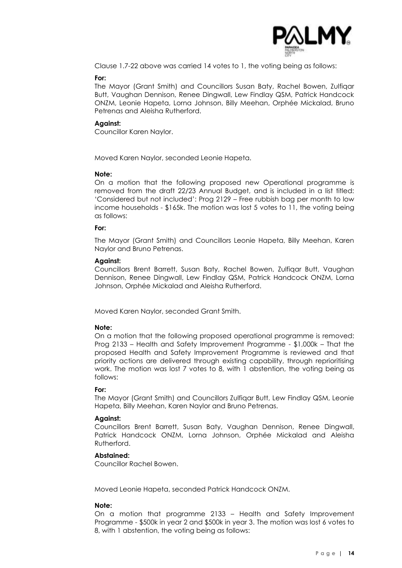

Clause 1.7-22 above was carried 14 votes to 1, the voting being as follows:

#### **For:**

The Mayor (Grant Smith) and Councillors Susan Baty, Rachel Bowen, Zulfiqar Butt, Vaughan Dennison, Renee Dingwall, Lew Findlay QSM, Patrick Handcock ONZM, Leonie Hapeta, Lorna Johnson, Billy Meehan, Orphée Mickalad, Bruno Petrenas and Aleisha Rutherford.

#### **Against:**

Councillor Karen Naylor.

Moved Karen Naylor, seconded Leonie Hapeta.

#### **Note:**

On a motion that the following proposed new Operational programme is removed from the draft 22/23 Annual Budget, and is included in a list titled: 'Considered but not included': Prog 2129 – Free rubbish bag per month to low income households - \$165k. The motion was lost 5 votes to 11, the voting being as follows:

#### **For:**

The Mayor (Grant Smith) and Councillors Leonie Hapeta, Billy Meehan, Karen Naylor and Bruno Petrenas.

#### **Against:**

Councillors Brent Barrett, Susan Baty, Rachel Bowen, Zulfiqar Butt, Vaughan Dennison, Renee Dingwall, Lew Findlay QSM, Patrick Handcock ONZM, Lorna Johnson, Orphée Mickalad and Aleisha Rutherford.

Moved Karen Naylor, seconded Grant Smith.

#### **Note:**

On a motion that the following proposed operational programme is removed: Prog 2133 – Health and Safety Improvement Programme - \$1,000k – That the proposed Health and Safety Improvement Programme is reviewed and that priority actions are delivered through existing capability, through reprioritising work. The motion was lost 7 votes to 8, with 1 abstention, the voting being as follows:

#### **For:**

The Mayor (Grant Smith) and Councillors Zulfiqar Butt, Lew Findlay QSM, Leonie Hapeta, Billy Meehan, Karen Naylor and Bruno Petrenas.

#### **Against:**

Councillors Brent Barrett, Susan Baty, Vaughan Dennison, Renee Dingwall, Patrick Handcock ONZM, Lorna Johnson, Orphée Mickalad and Aleisha Rutherford.

#### **Abstained:**

Councillor Rachel Bowen.

Moved Leonie Hapeta, seconded Patrick Handcock ONZM.

#### **Note:**

On a motion that programme 2133 – Health and Safety Improvement Programme - \$500k in year 2 and \$500k in year 3. The motion was lost 6 votes to 8, with 1 abstention, the voting being as follows: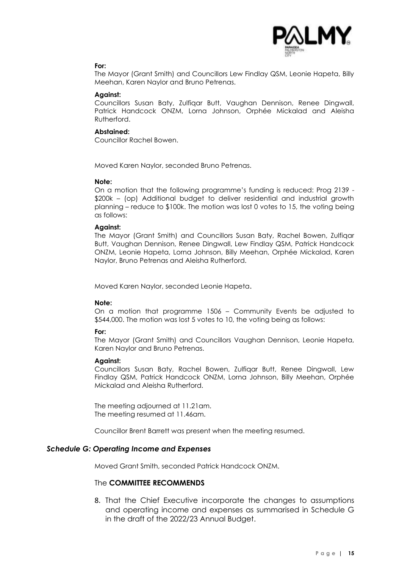

#### **For:**

The Mayor (Grant Smith) and Councillors Lew Findlay QSM, Leonie Hapeta, Billy Meehan, Karen Naylor and Bruno Petrenas.

#### **Against:**

Councillors Susan Baty, Zulfiqar Butt, Vaughan Dennison, Renee Dingwall, Patrick Handcock ONZM, Lorna Johnson, Orphée Mickalad and Aleisha Rutherford.

#### **Abstained:**

Councillor Rachel Bowen.

Moved Karen Naylor, seconded Bruno Petrenas.

#### **Note:**

On a motion that the following programme's funding is reduced: Prog 2139 - \$200k – (op) Additional budget to deliver residential and industrial growth planning – reduce to \$100k. The motion was lost 0 votes to 15, the voting being as follows:

#### **Against:**

The Mayor (Grant Smith) and Councillors Susan Baty, Rachel Bowen, Zulfiqar Butt, Vaughan Dennison, Renee Dingwall, Lew Findlay QSM, Patrick Handcock ONZM, Leonie Hapeta, Lorna Johnson, Billy Meehan, Orphée Mickalad, Karen Naylor, Bruno Petrenas and Aleisha Rutherford.

Moved Karen Naylor, seconded Leonie Hapeta.

#### **Note:**

On a motion that programme 1506 – Community Events be adjusted to \$544,000. The motion was lost 5 votes to 10, the voting being as follows:

#### **For:**

The Mayor (Grant Smith) and Councillors Vaughan Dennison, Leonie Hapeta, Karen Naylor and Bruno Petrenas.

#### **Against:**

Councillors Susan Baty, Rachel Bowen, Zulfiqar Butt, Renee Dingwall, Lew Findlay QSM, Patrick Handcock ONZM, Lorna Johnson, Billy Meehan, Orphée Mickalad and Aleisha Rutherford.

The meeting adjourned at 11.21am. The meeting resumed at 11.46am.

Councillor Brent Barrett was present when the meeting resumed.

#### *Schedule G: Operating Income and Expenses*

Moved Grant Smith, seconded Patrick Handcock ONZM.

#### The **COMMITTEE RECOMMENDS**

8. That the Chief Executive incorporate the changes to assumptions and operating income and expenses as summarised in Schedule G in the draft of the 2022/23 Annual Budget.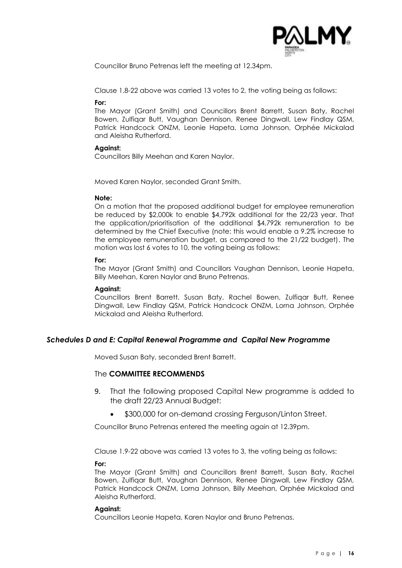

Councillor Bruno Petrenas left the meeting at 12.34pm.

Clause 1.8-22 above was carried 13 votes to 2, the voting being as follows:

#### **For:**

The Mayor (Grant Smith) and Councillors Brent Barrett, Susan Baty, Rachel Bowen, Zulfiqar Butt, Vaughan Dennison, Renee Dingwall, Lew Findlay QSM, Patrick Handcock ONZM, Leonie Hapeta, Lorna Johnson, Orphée Mickalad and Aleisha Rutherford.

#### **Against:**

Councillors Billy Meehan and Karen Naylor.

Moved Karen Naylor, seconded Grant Smith.

#### **Note:**

On a motion that the proposed additional budget for employee remuneration be reduced by \$2,000k to enable \$4,792k additional for the 22/23 year. That the application/prioritisation of the additional \$4,792k remuneration to be determined by the Chief Executive (note: this would enable a 9.2% increase to the employee remuneration budget, as compared to the 21/22 budget). The motion was lost 6 votes to 10, the voting being as follows:

#### **For:**

The Mayor (Grant Smith) and Councillors Vaughan Dennison, Leonie Hapeta, Billy Meehan, Karen Naylor and Bruno Petrenas.

#### **Against:**

Councillors Brent Barrett, Susan Baty, Rachel Bowen, Zulfiqar Butt, Renee Dingwall, Lew Findlay QSM, Patrick Handcock ONZM, Lorna Johnson, Orphée Mickalad and Aleisha Rutherford.

#### *Schedules D and E: Capital Renewal Programme and Capital New Programme*

Moved Susan Baty, seconded Brent Barrett.

#### The **COMMITTEE RECOMMENDS**

- 9. That the following proposed Capital New programme is added to the draft 22/23 Annual Budget:
	- \$300,000 for on-demand crossing Ferguson/Linton Street.

Councillor Bruno Petrenas entered the meeting again at 12.39pm.

Clause 1.9-22 above was carried 13 votes to 3, the voting being as follows:

#### **For:**

The Mayor (Grant Smith) and Councillors Brent Barrett, Susan Baty, Rachel Bowen, Zulfiqar Butt, Vaughan Dennison, Renee Dingwall, Lew Findlay QSM, Patrick Handcock ONZM, Lorna Johnson, Billy Meehan, Orphée Mickalad and Aleisha Rutherford.

#### **Against:**

Councillors Leonie Hapeta, Karen Naylor and Bruno Petrenas.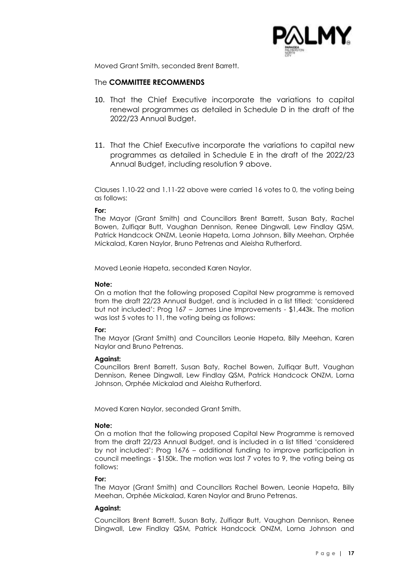

Moved Grant Smith, seconded Brent Barrett.

#### The **COMMITTEE RECOMMENDS**

- 10. That the Chief Executive incorporate the variations to capital renewal programmes as detailed in Schedule D in the draft of the 2022/23 Annual Budget.
- 11. That the Chief Executive incorporate the variations to capital new programmes as detailed in Schedule E in the draft of the 2022/23 Annual Budget, including resolution 9 above.

Clauses 1.10-22 and 1.11-22 above were carried 16 votes to 0, the voting being as follows:

#### **For:**

The Mayor (Grant Smith) and Councillors Brent Barrett, Susan Baty, Rachel Bowen, Zulfiqar Butt, Vaughan Dennison, Renee Dingwall, Lew Findlay QSM, Patrick Handcock ONZM, Leonie Hapeta, Lorna Johnson, Billy Meehan, Orphée Mickalad, Karen Naylor, Bruno Petrenas and Aleisha Rutherford.

Moved Leonie Hapeta, seconded Karen Naylor.

#### **Note:**

On a motion that the following proposed Capital New programme is removed from the draft 22/23 Annual Budget, and is included in a list titled: 'considered but not included': Prog 167 – James Line Improvements - \$1,443k. The motion was lost 5 votes to 11, the voting being as follows:

#### **For:**

The Mayor (Grant Smith) and Councillors Leonie Hapeta, Billy Meehan, Karen Naylor and Bruno Petrenas.

#### **Against:**

Councillors Brent Barrett, Susan Baty, Rachel Bowen, Zulfiqar Butt, Vaughan Dennison, Renee Dingwall, Lew Findlay QSM, Patrick Handcock ONZM, Lorna Johnson, Orphée Mickalad and Aleisha Rutherford.

Moved Karen Naylor, seconded Grant Smith.

#### **Note:**

On a motion that the following proposed Capital New Programme is removed from the draft 22/23 Annual Budget, and is included in a list titled 'considered by not included': Prog 1676 – additional funding to improve participation in council meetings - \$150k. The motion was lost 7 votes to 9, the voting being as follows:

#### **For:**

The Mayor (Grant Smith) and Councillors Rachel Bowen, Leonie Hapeta, Billy Meehan, Orphée Mickalad, Karen Naylor and Bruno Petrenas.

#### **Against:**

Councillors Brent Barrett, Susan Baty, Zulfiqar Butt, Vaughan Dennison, Renee Dingwall, Lew Findlay QSM, Patrick Handcock ONZM, Lorna Johnson and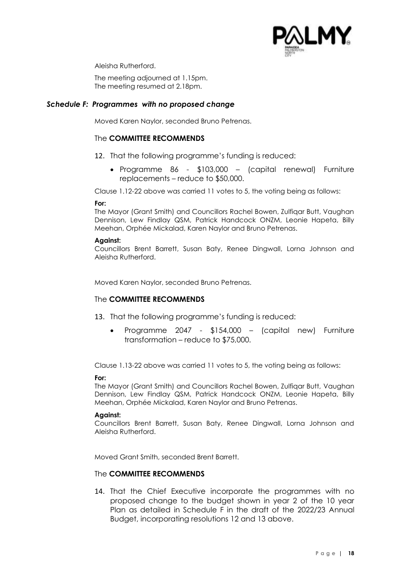

Aleisha Rutherford.

The meeting adjourned at 1.15pm. The meeting resumed at 2.18pm.

#### *Schedule F: Programmes with no proposed change*

Moved Karen Naylor, seconded Bruno Petrenas.

#### The **COMMITTEE RECOMMENDS**

- 12. That the following programme's funding is reduced:
	- Programme 86 \$103,000 (capital renewal) Furniture replacements – reduce to \$50,000.

Clause 1.12-22 above was carried 11 votes to 5, the voting being as follows:

#### **For:**

The Mayor (Grant Smith) and Councillors Rachel Bowen, Zulfiqar Butt, Vaughan Dennison, Lew Findlay QSM, Patrick Handcock ONZM, Leonie Hapeta, Billy Meehan, Orphée Mickalad, Karen Naylor and Bruno Petrenas.

#### **Against:**

Councillors Brent Barrett, Susan Baty, Renee Dingwall, Lorna Johnson and Aleisha Rutherford.

Moved Karen Naylor, seconded Bruno Petrenas.

#### The **COMMITTEE RECOMMENDS**

- 13. That the following programme's funding is reduced:
	- Programme 2047 \$154,000 (capital new) Furniture transformation – reduce to \$75,000.

Clause 1.13-22 above was carried 11 votes to 5, the voting being as follows:

#### **For:**

The Mayor (Grant Smith) and Councillors Rachel Bowen, Zulfiqar Butt, Vaughan Dennison, Lew Findlay QSM, Patrick Handcock ONZM, Leonie Hapeta, Billy Meehan, Orphée Mickalad, Karen Naylor and Bruno Petrenas.

#### **Against:**

Councillors Brent Barrett, Susan Baty, Renee Dingwall, Lorna Johnson and Aleisha Rutherford.

Moved Grant Smith, seconded Brent Barrett.

#### The **COMMITTEE RECOMMENDS**

14. That the Chief Executive incorporate the programmes with no proposed change to the budget shown in year 2 of the 10 year Plan as detailed in Schedule F in the draft of the 2022/23 Annual Budget, incorporating resolutions 12 and 13 above.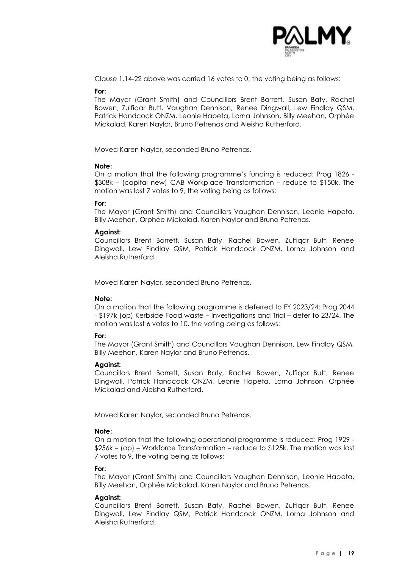

Clause 1.14-22 above was carried 16 votes to 0, the voting being as follows:

#### **For:**

The Mayor (Grant Smith) and Councillors Brent Barrett, Susan Baty, Rachel Bowen, Zulfiqar Butt, Vaughan Dennison, Renee Dingwall, Lew Findlay QSM, Patrick Handcock ONZM, Leonie Hapeta, Lorna Johnson, Billy Meehan, Orphée Mickalad, Karen Naylor, Bruno Petrenas and Aleisha Rutherford.

Moved Karen Naylor, seconded Bruno Petrenas.

#### **Note:**

On a motion that the following programme's funding is reduced: Prog 1826 - \$308k – (capital new) CAB Workplace Transformation – reduce to \$150k. The motion was lost 7 votes to 9, the voting being as follows:

#### **For:**

The Mayor (Grant Smith) and Councillors Vaughan Dennison, Leonie Hapeta, Billy Meehan, Orphée Mickalad, Karen Naylor and Bruno Petrenas.

#### **Against:**

Councillors Brent Barrett, Susan Baty, Rachel Bowen, Zulfiqar Butt, Renee Dingwall, Lew Findlay QSM, Patrick Handcock ONZM, Lorna Johnson and Aleisha Rutherford.

Moved Karen Naylor, seconded Bruno Petrenas.

#### **Note:**

On a motion that the following programme is deferred to FY 2023/24: Prog 2044 - \$197k (op) Kerbside Food waste – Investigations and Trial – defer to 23/24. The motion was lost 6 votes to 10, the voting being as follows:

#### **For:**

The Mayor (Grant Smith) and Councillors Vaughan Dennison, Lew Findlay QSM, Billy Meehan, Karen Naylor and Bruno Petrenas.

#### **Against:**

Councillors Brent Barrett, Susan Baty, Rachel Bowen, Zulfiqar Butt, Renee Dingwall, Patrick Handcock ONZM, Leonie Hapeta, Lorna Johnson, Orphée Mickalad and Aleisha Rutherford.

Moved Karen Naylor, seconded Bruno Petrenas.

#### **Note:**

On a motion that the following operational programme is reduced: Prog 1929 - \$256k – (op) – Workforce Transformation – reduce to \$125k. The motion was lost 7 votes to 9, the voting being as follows:

#### **For:**

The Mayor (Grant Smith) and Councillors Vaughan Dennison, Leonie Hapeta, Billy Meehan, Orphée Mickalad, Karen Naylor and Bruno Petrenas.

#### **Against:**

Councillors Brent Barrett, Susan Baty, Rachel Bowen, Zulfiqar Butt, Renee Dingwall, Lew Findlay QSM, Patrick Handcock ONZM, Lorna Johnson and Aleisha Rutherford.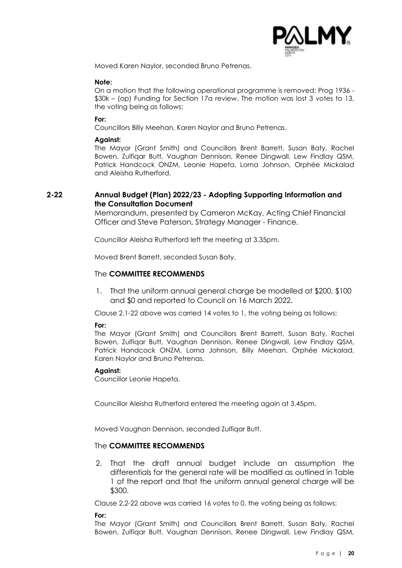

Moved Karen Naylor, seconded Bruno Petrenas.

#### **Note:**

On a motion that the following operational programme is removed: Prog 1936 - \$30k – (op) Funding for Section 17a review. The motion was lost 3 votes to 13, the voting being as follows:

#### **For:**

Councillors Billy Meehan, Karen Naylor and Bruno Petrenas.

#### **Against:**

The Mayor (Grant Smith) and Councillors Brent Barrett, Susan Baty, Rachel Bowen, Zulfiqar Butt, Vaughan Dennison, Renee Dingwall, Lew Findlay QSM, Patrick Handcock ONZM, Leonie Hapeta, Lorna Johnson, Orphée Mickalad and Aleisha Rutherford.

#### **2-22 Annual Budget (Plan) 2022/23 - Adopting Supporting Information and the Consultation Document**

Memorandum, presented by Cameron McKay, Acting Chief Financial Officer and Steve Paterson, Strategy Manager - Finance.

Councillor Aleisha Rutherford left the meeting at 3.35pm.

Moved Brent Barrett, seconded Susan Baty.

#### The **COMMITTEE RECOMMENDS**

1. That the uniform annual general charge be modelled at \$200, \$100 and \$0 and reported to Council on 16 March 2022.

Clause 2.1-22 above was carried 14 votes to 1, the voting being as follows:

#### **For:**

The Mayor (Grant Smith) and Councillors Brent Barrett, Susan Baty, Rachel Bowen, Zulfiqar Butt, Vaughan Dennison, Renee Dingwall, Lew Findlay QSM, Patrick Handcock ONZM, Lorna Johnson, Billy Meehan, Orphée Mickalad, Karen Naylor and Bruno Petrenas.

#### **Against:**

Councillor Leonie Hapeta.

Councillor Aleisha Rutherford entered the meeting again at 3.45pm.

Moved Vaughan Dennison, seconded Zulfiqar Butt.

#### The **COMMITTEE RECOMMENDS**

2. That the draft annual budget include an assumption the differentials for the general rate will be modified as outlined in Table 1 of the report and that the uniform annual general charge will be \$300.

Clause 2.2-22 above was carried 16 votes to 0, the voting being as follows:

**For:**

The Mayor (Grant Smith) and Councillors Brent Barrett, Susan Baty, Rachel Bowen, Zulfiqar Butt, Vaughan Dennison, Renee Dingwall, Lew Findlay QSM,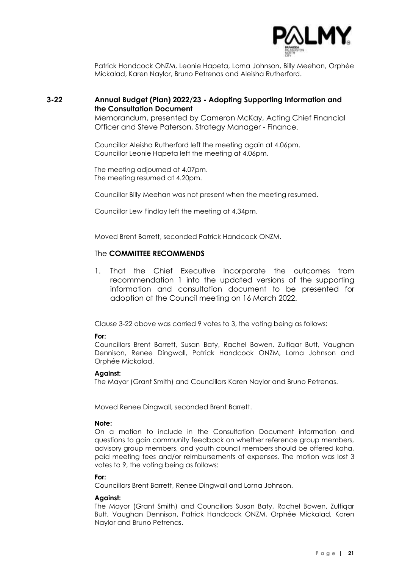

Patrick Handcock ONZM, Leonie Hapeta, Lorna Johnson, Billy Meehan, Orphée Mickalad, Karen Naylor, Bruno Petrenas and Aleisha Rutherford.

#### **3-22 Annual Budget (Plan) 2022/23 - Adopting Supporting Information and the Consultation Document**

Memorandum, presented by Cameron McKay, Acting Chief Financial Officer and Steve Paterson, Strategy Manager - Finance.

Councillor Aleisha Rutherford left the meeting again at 4.06pm. Councillor Leonie Hapeta left the meeting at 4.06pm.

The meeting adjourned at 4.07pm. The meeting resumed at 4.20pm.

Councillor Billy Meehan was not present when the meeting resumed.

Councillor Lew Findlay left the meeting at 4.34pm.

Moved Brent Barrett, seconded Patrick Handcock ONZM.

#### The **COMMITTEE RECOMMENDS**

1. That the Chief Executive incorporate the outcomes from recommendation 1 into the updated versions of the supporting information and consultation document to be presented for adoption at the Council meeting on 16 March 2022.

Clause 3-22 above was carried 9 votes to 3, the voting being as follows:

#### **For:**

Councillors Brent Barrett, Susan Baty, Rachel Bowen, Zulfiqar Butt, Vaughan Dennison, Renee Dingwall, Patrick Handcock ONZM, Lorna Johnson and Orphée Mickalad.

#### **Against:**

The Mayor (Grant Smith) and Councillors Karen Naylor and Bruno Petrenas.

Moved Renee Dingwall, seconded Brent Barrett.

#### **Note:**

On a motion to include in the Consultation Document information and questions to gain community feedback on whether reference group members, advisory group members, and youth council members should be offered koha, paid meeting fees and/or reimbursements of expenses. The motion was lost 3 votes to 9, the voting being as follows:

#### **For:**

Councillors Brent Barrett, Renee Dingwall and Lorna Johnson.

#### **Against:**

The Mayor (Grant Smith) and Councillors Susan Baty, Rachel Bowen, Zulfiqar Butt, Vaughan Dennison, Patrick Handcock ONZM, Orphée Mickalad, Karen Naylor and Bruno Petrenas.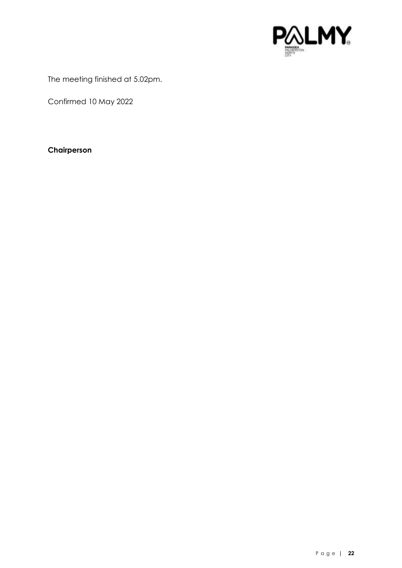

The meeting finished at 5.02pm.

Confirmed 10 May 2022

#### **Chairperson**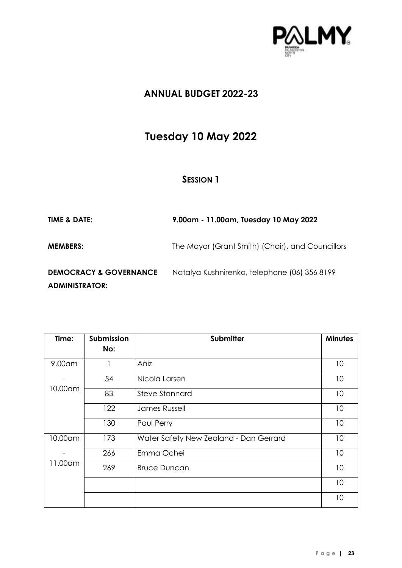

# **Tuesday 10 May 2022**

| <b>TIME &amp; DATE:</b>                                    | 9.00am - 11.00am, Tuesday 10 May 2022            |
|------------------------------------------------------------|--------------------------------------------------|
| <b>MEMBERS:</b>                                            | The Mayor (Grant Smith) (Chair), and Councillors |
| <b>DEMOCRACY &amp; GOVERNANCE</b><br><b>ADMINISTRATOR:</b> | Natalya Kushnirenko, telephone (06) 356 8199     |

| Time:   | <b>Submission</b><br>No: | <b>Submitter</b>                       | <b>Minutes</b> |
|---------|--------------------------|----------------------------------------|----------------|
|         |                          |                                        |                |
| 9.00am  |                          | Aniz                                   | 10             |
| 10.00am | 54                       | Nicola Larsen                          | 10             |
|         | 83                       | <b>Steve Stannard</b>                  | 10             |
|         | 122                      | <b>James Russell</b>                   | 10             |
|         | 130                      | Paul Perry                             | 10             |
| 10.00am | 173                      | Water Safety New Zealand - Dan Gerrard | 10             |
| 11.00am | 266                      | Emma Ochei                             | 10             |
|         | 269                      | <b>Bruce Duncan</b>                    | 10             |
|         |                          |                                        | 10             |
|         |                          |                                        | 10             |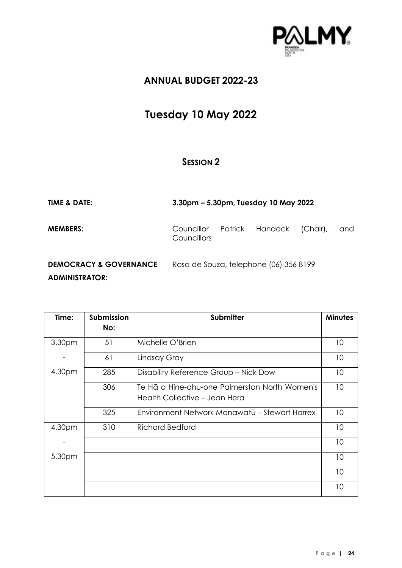

# **Tuesday 10 May 2022**

| <b>TIME &amp; DATE:</b>                                    |                                           | 3.30pm – 5.30pm, Tuesday 10 May 2022   |          |     |
|------------------------------------------------------------|-------------------------------------------|----------------------------------------|----------|-----|
| <b>MEMBERS:</b>                                            | Councillor Patrick Handock<br>Councillors |                                        | (Chair), | and |
| <b>DEMOCRACY &amp; GOVERNANCE</b><br><b>ADMINISTRATOR:</b> |                                           | Rosa de Souza, telephone (06) 356 8199 |          |     |

| Time:              | Submission | <b>Submitter</b>                              | <b>Minutes</b> |
|--------------------|------------|-----------------------------------------------|----------------|
|                    | No:        |                                               |                |
| 3.30 <sub>pm</sub> | 51         | Michelle O'Brien                              | 10             |
|                    | 61         | Lindsay Gray                                  | 10             |
| 4.30pm             | 285        | Disability Reference Group - Nick Dow         | 10             |
|                    | 306        | Te Hā o Hine-ahu-one Palmerston North Women's | 10             |
|                    |            | Health Collective - Jean Hera                 |                |
|                    | 325        | Environment Network Manawatū – Stewart Harrex | 10             |
| 4.30pm             | 310        | <b>Richard Bedford</b>                        | 10             |
|                    |            |                                               | 10             |
| 5.30pm             |            |                                               | 10             |
|                    |            |                                               | 10             |
|                    |            |                                               | 10             |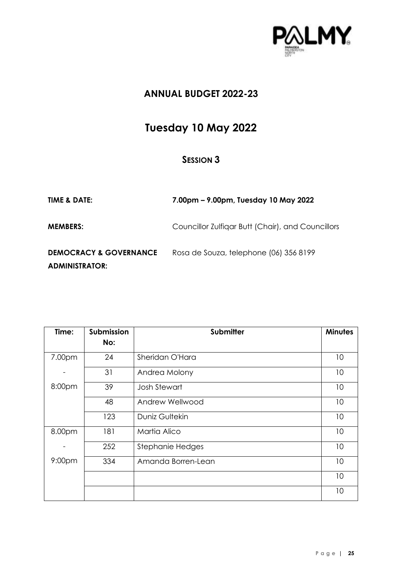

# **Tuesday 10 May 2022**

| <b>TIME &amp; DATE:</b>                                    | 7.00pm – 9.00pm, Tuesday 10 May 2022              |
|------------------------------------------------------------|---------------------------------------------------|
| <b>MEMBERS:</b>                                            | Councillor Zulfigar Butt (Chair), and Councillors |
| <b>DEMOCRACY &amp; GOVERNANCE</b><br><b>ADMINISTRATOR:</b> | Rosa de Souza, telephone (06) 356 8199            |

| Time:              | Submission<br>No: | Submitter           | <b>Minutes</b> |
|--------------------|-------------------|---------------------|----------------|
|                    |                   |                     |                |
| 7.00pm             | 24                | Sheridan O'Hara     | 10             |
|                    | 31                | Andrea Molony       | 10             |
| 8:00pm             | 39                | <b>Josh Stewart</b> | 10             |
|                    | 48                | Andrew Wellwood     | 10             |
|                    | 123               | Duniz Gultekin      | 10             |
| 8.00pm             | 181               | Martia Alico        | 10             |
|                    | 252               | Stephanie Hedges    | 10             |
| 9:00 <sub>pm</sub> | 334               | Amanda Borren-Lean  | 10             |
|                    |                   |                     | 10             |
|                    |                   |                     | 10             |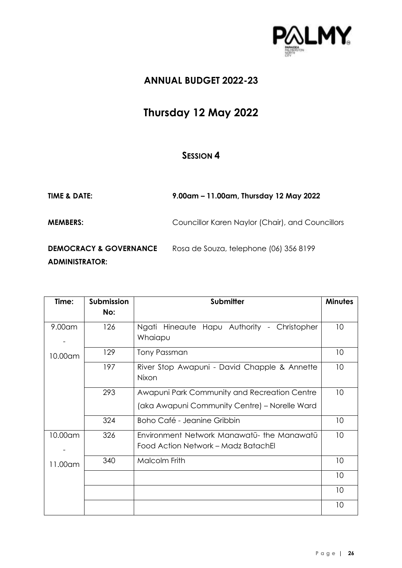

# **Thursday 12 May 2022**

| <b>TIME &amp; DATE:</b>                                    | 9.00am - 11.00am, Thursday 12 May 2022           |
|------------------------------------------------------------|--------------------------------------------------|
| <b>MEMBERS:</b>                                            | Councillor Karen Naylor (Chair), and Councillors |
| <b>DEMOCRACY &amp; GOVERNANCE</b><br><b>ADMINISTRATOR:</b> | Rosa de Souza, telephone (06) 356 8199           |

| Time:     | <b>Submission</b> | Submitter                                     | <b>Minutes</b> |
|-----------|-------------------|-----------------------------------------------|----------------|
|           | No:               |                                               |                |
| $9.00$ am | 126               | Ngati Hineaute Hapu Authority - Christopher   | 10             |
|           |                   | Whaiapu                                       |                |
| 10.00am   | 129               | Tony Passman                                  | 10             |
|           | 197               | River Stop Awapuni - David Chapple & Annette  | 10             |
|           |                   | Nixon                                         |                |
|           | 293               | Awapuni Park Community and Recreation Centre  | 10             |
|           |                   | (aka Awapuni Community Centre) - Norelle Ward |                |
|           | 324               | Boho Café - Jeanine Gribbin                   | 10             |
| 10.00am   | 326               | Environment Network Manawatū- the Manawatū    | 10             |
|           |                   | Food Action Network - Madz BatachEl           |                |
| 11.00am   | 340               | Malcolm Frith                                 | 10             |
|           |                   |                                               | 10             |
|           |                   |                                               | 10             |
|           |                   |                                               | 10             |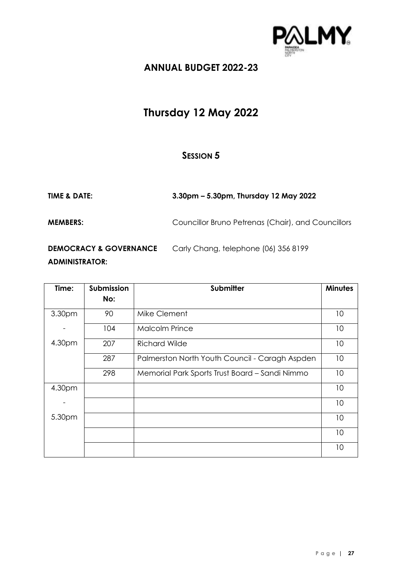

# **Thursday 12 May 2022**

| <b>TIME &amp; DATE:</b>                                    | 3.30pm – 5.30pm, Thursday 12 May 2022              |
|------------------------------------------------------------|----------------------------------------------------|
| <b>MEMBERS:</b>                                            | Councillor Bruno Petrenas (Chair), and Councillors |
| <b>DEMOCRACY &amp; GOVERNANCE</b><br><b>ADMINISTRATOR:</b> | Carly Chang, telephone (06) 356 8199               |

| Time:  | Submission | <b>Submitter</b>                               | <b>Minutes</b> |
|--------|------------|------------------------------------------------|----------------|
|        | No:        |                                                |                |
| 3.30pm | 90         | Mike Clement                                   | 10             |
|        | 104        | <b>Malcolm Prince</b>                          | 10             |
| 4.30pm | 207        | <b>Richard Wilde</b>                           | 10             |
|        | 287        | Palmerston North Youth Council - Caragh Aspden | 10             |
|        | 298        | Memorial Park Sports Trust Board - Sandi Nimmo | 10             |
| 4.30pm |            |                                                | 10             |
|        |            |                                                | 10             |
| 5.30pm |            |                                                | 10             |
|        |            |                                                | 10             |
|        |            |                                                | 10             |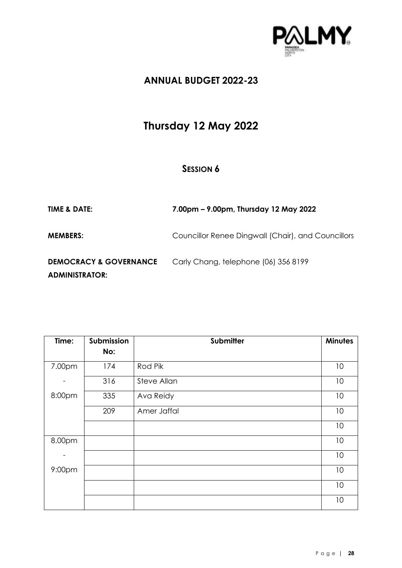

# **Thursday 12 May 2022**

| <b>TIME &amp; DATE:</b>                                    | 7.00pm – 9.00pm, Thursday 12 May 2022              |
|------------------------------------------------------------|----------------------------------------------------|
| <b>MEMBERS:</b>                                            | Councillor Renee Dingwall (Chair), and Councillors |
| <b>DEMOCRACY &amp; GOVERNANCE</b><br><b>ADMINISTRATOR:</b> | Carly Chang, telephone (06) 356 8199               |

| Time:  | Submission | Submitter          | <b>Minutes</b> |
|--------|------------|--------------------|----------------|
|        | No:        |                    |                |
| 7.00pm | 174        | Rod Pik            | 10             |
|        | 316        | <b>Steve Allan</b> | 10             |
| 8:00pm | 335        | Ava Reidy          | 10             |
|        | 209        | Amer Jaffal        | 10             |
|        |            |                    | 10             |
| 8.00pm |            |                    | 10             |
|        |            |                    | 10             |
| 9:00pm |            |                    | 10             |
|        |            |                    | 10             |
|        |            |                    | 10             |